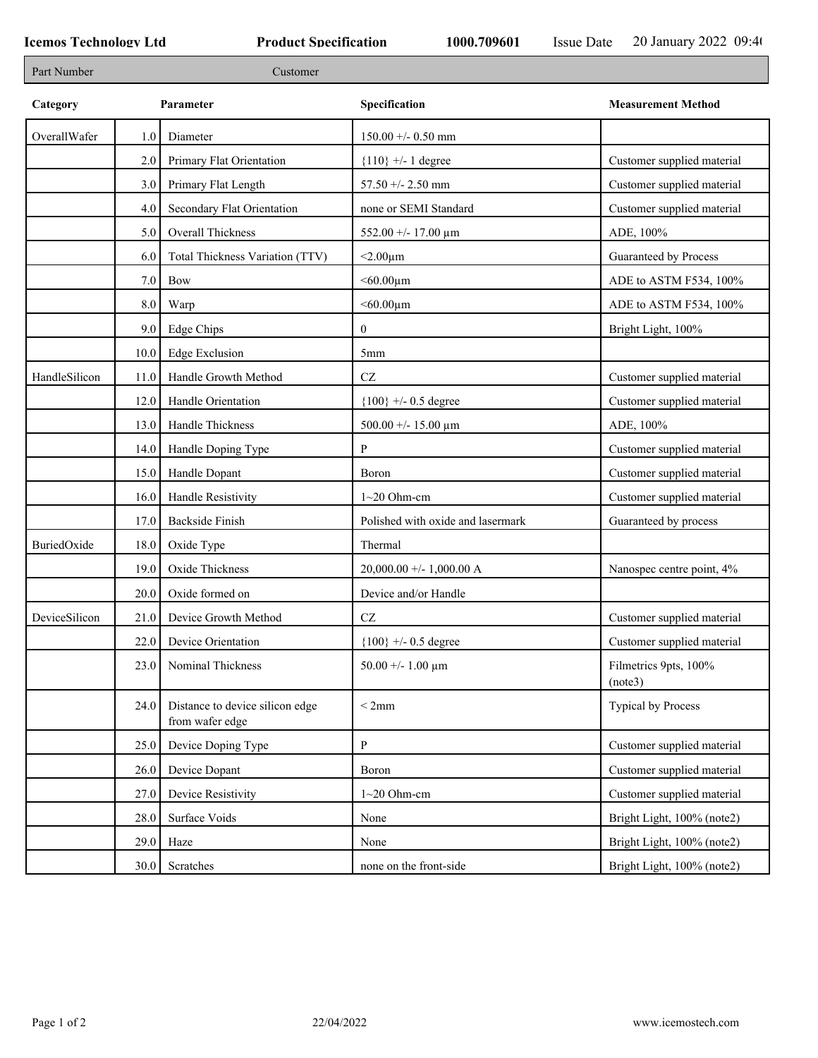| Part Number   |      | Customer                                           |                                   |                                  |
|---------------|------|----------------------------------------------------|-----------------------------------|----------------------------------|
| Category      |      | Parameter                                          | Specification                     | <b>Measurement Method</b>        |
| OverallWafer  | 1.0  | Diameter                                           | $150.00 + - 0.50$ mm              |                                  |
|               | 2.0  | Primary Flat Orientation                           | ${110}$ +/- 1 degree              | Customer supplied material       |
|               | 3.0  | Primary Flat Length                                | $57.50 + - 2.50$ mm               | Customer supplied material       |
|               | 4.0  | Secondary Flat Orientation                         | none or SEMI Standard             | Customer supplied material       |
|               | 5.0  | Overall Thickness                                  | 552.00 +/- 17.00 μm               | ADE, 100%                        |
|               | 6.0  | Total Thickness Variation (TTV)                    | $<$ 2.00 $\mu$ m                  | Guaranteed by Process            |
|               | 7.0  | <b>Bow</b>                                         | $<$ 60.00 $\mu$ m                 | ADE to ASTM F534, 100%           |
|               | 8.0  | Warp                                               | $<$ 60.00 $\mu$ m                 | ADE to ASTM F534, 100%           |
|               | 9.0  | <b>Edge Chips</b>                                  | $\overline{0}$                    | Bright Light, 100%               |
|               | 10.0 | <b>Edge Exclusion</b>                              | 5 <sub>mm</sub>                   |                                  |
| HandleSilicon | 11.0 | Handle Growth Method                               | $\operatorname{CZ}$               | Customer supplied material       |
|               | 12.0 | Handle Orientation                                 | ${100}$ +/- 0.5 degree            | Customer supplied material       |
|               | 13.0 | Handle Thickness                                   | 500.00 +/- 15.00 $\mu$ m          | ADE, 100%                        |
|               | 14.0 | Handle Doping Type                                 | P                                 | Customer supplied material       |
|               | 15.0 | Handle Dopant                                      | Boron                             | Customer supplied material       |
|               | 16.0 | Handle Resistivity                                 | $1~20$ Ohm-cm                     | Customer supplied material       |
|               | 17.0 | <b>Backside Finish</b>                             | Polished with oxide and lasermark | Guaranteed by process            |
| BuriedOxide   | 18.0 | Oxide Type                                         | Thermal                           |                                  |
|               | 19.0 | Oxide Thickness                                    | $20,000.00 +/- 1,000.00 A$        | Nanospec centre point, 4%        |
|               | 20.0 | Oxide formed on                                    | Device and/or Handle              |                                  |
| DeviceSilicon | 21.0 | Device Growth Method                               | CZ                                | Customer supplied material       |
|               | 22.0 | Device Orientation                                 | ${100}$ +/- 0.5 degree            | Customer supplied material       |
|               | 23.0 | Nominal Thickness                                  | 50.00 +/- 1.00 $\mu$ m            | Filmetrics 9pts, 100%<br>(note3) |
|               | 24.0 | Distance to device silicon edge<br>from wafer edge | < 2mm                             | <b>Typical by Process</b>        |
|               | 25.0 | Device Doping Type                                 | $\mathbf{P}$                      | Customer supplied material       |
|               | 26.0 | Device Dopant                                      | Boron                             | Customer supplied material       |
|               | 27.0 | Device Resistivity                                 | $1~20$ Ohm-cm                     | Customer supplied material       |
|               | 28.0 | Surface Voids                                      | None                              | Bright Light, 100% (note2)       |
|               | 29.0 | Haze                                               | None                              | Bright Light, 100% (note2)       |
|               | 30.0 | Scratches                                          | none on the front-side            | Bright Light, 100% (note2)       |